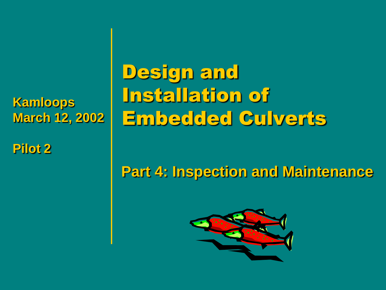**Kamloops March 12, 2002**

**Pilot 2**

Design and Installation of Embedded Culverts

### **Part 4: Inspection and Maintenance**

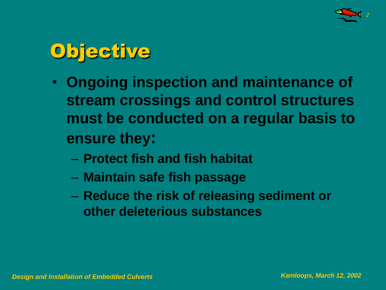



- **Ongoing inspection and maintenance of stream crossings and control structures must be conducted on a regular basis to ensure they:**
	- **Protect fish and fish habitat**
	- **Maintain safe fish passage**
	- **Reduce the risk of releasing sediment or other deleterious substances**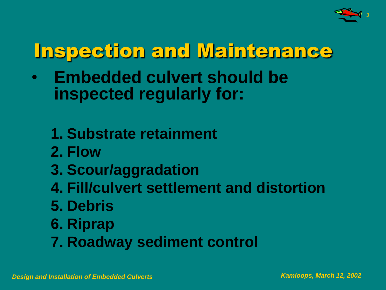

## Inspection and Maintenance

- **Embedded culvert should be inspected regularly for:**
	- **1. Substrate retainment**
	- **2. Flow**
	- **3. Scour/aggradation**
	- **4. Fill/culvert settlement and distortion**
	- **5. Debris**
	- **6. Riprap**
	- **7. Roadway sediment control**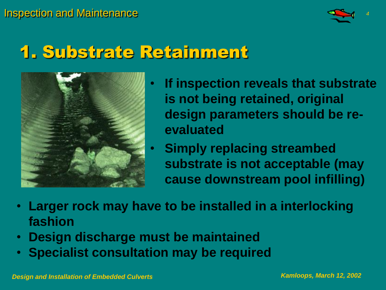

### 1. Substrate Retainment



- **If inspection reveals that substrate is not being retained, original design parameters should be reevaluated**
- **Simply replacing streambed substrate is not acceptable (may cause downstream pool infilling)**
- **Larger rock may have to be installed in a interlocking fashion**
- **Design discharge must be maintained**
- **Specialist consultation may be required**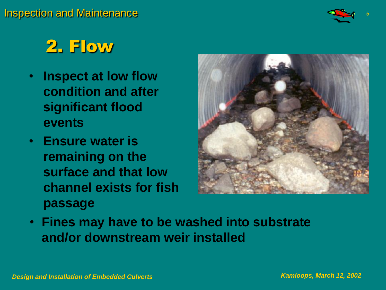

### 2. Flow

- **Inspect at low flow condition and after significant flood events**
- **Ensure water is remaining on the surface and that low channel exists for fish passage**



• **Fines may have to be washed into substrate and/or downstream weir installed**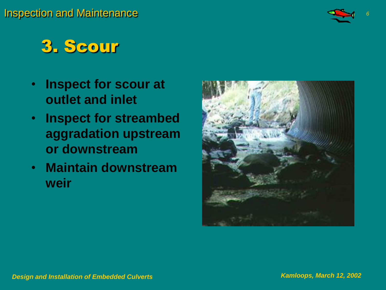

### 3. Scour

- **Inspect for scour at outlet and inlet**
- **Inspect for streambed aggradation upstream or downstream**
- **Maintain downstream weir**

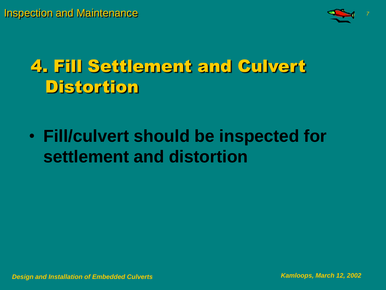

### 4. Fill Settlement and Culvert **Distortion**

• **Fill/culvert should be inspected for settlement and distortion**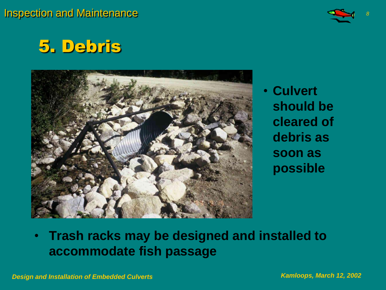

### 5. Debris



• **Culvert should be cleared of debris as soon as possible**

#### • **Trash racks may be designed and installed to accommodate fish passage**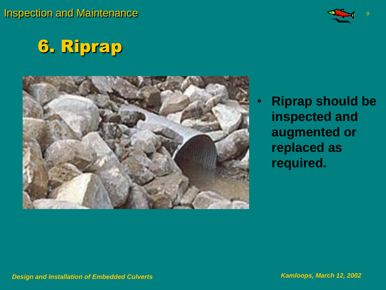Inspection and Maintenance *<sup>9</sup>*



### 6. Riprap



• **Riprap should be inspected and augmented or replaced as required.**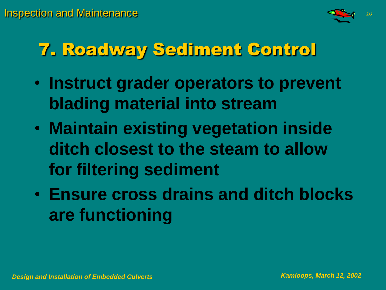

### 7. Roadway Sediment Control

- **Instruct grader operators to prevent blading material into stream**
- **Maintain existing vegetation inside ditch closest to the steam to allow for filtering sediment**
- **Ensure cross drains and ditch blocks are functioning**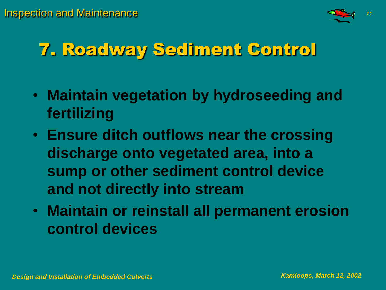

### 7. Roadway Sediment Control

- **Maintain vegetation by hydroseeding and fertilizing**
- **Ensure ditch outflows near the crossing discharge onto vegetated area, into a sump or other sediment control device and not directly into stream**
- **Maintain or reinstall all permanent erosion control devices**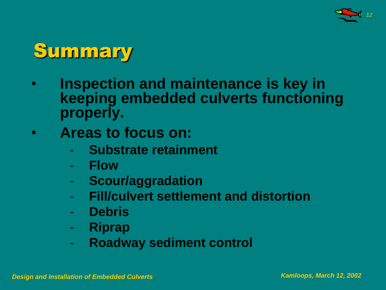

### Summary

- **Inspection and maintenance is key in keeping embedded culverts functioning properly.**
- **Areas to focus on:**
	- **Substrate retainment**
	- **Flow**
	- **Scour/aggradation**
	- **Fill/culvert settlement and distortion**
	- **Debris**
	- **Riprap**
	- **Roadway sediment control**